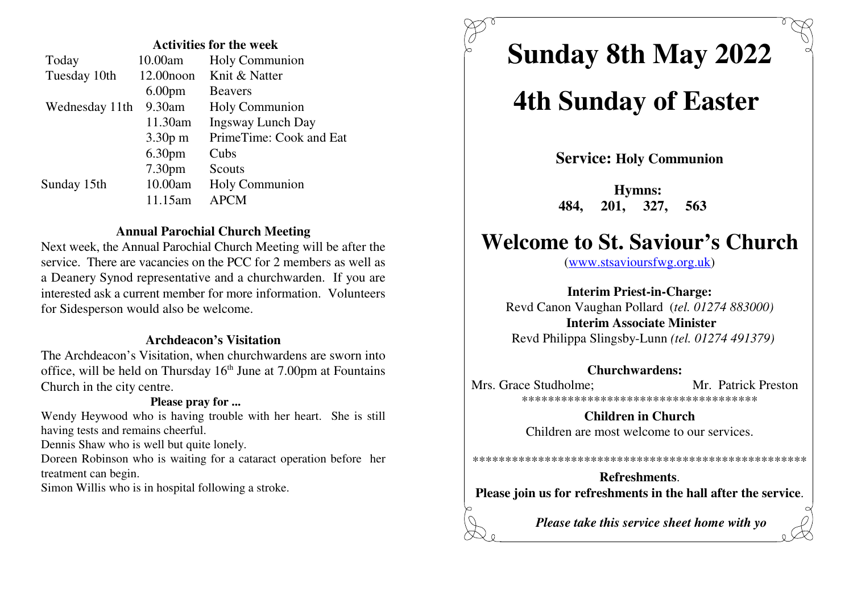#### **Activities for the week**

| Today          | 10.00am            | Holy Communion           |
|----------------|--------------------|--------------------------|
| Tuesday 10th   | $12.00$ noon       | Knit & Natter            |
|                | 6.00 <sub>pm</sub> | <b>Beavers</b>           |
| Wednesday 11th | 9.30am             | <b>Holy Communion</b>    |
|                | 11.30am            | <b>Ingsway Lunch Day</b> |
|                | $3.30p$ m          | PrimeTime: Cook and Eat  |
|                | 6.30 <sub>pm</sub> | Cubs                     |
|                | 7.30pm             | Scouts                   |
| Sunday 15th    | 10.00am            | Holy Communion           |
|                | 11.15am            | <b>APCM</b>              |

### **Annual Parochial Church Meeting**

 Next week, the Annual Parochial Church Meeting will be after theservice. There are vacancies on the PCC for 2 members as well as (www.stsavioursfwg.org.uk) a Deanery Synod representative and a churchwarden. If you are interested ask a current member for more information. Volunteersfor Sidesperson would also be welcome.

#### **Archdeacon's Visitation**

 The Archdeacon's Visitation, when churchwardens are sworn intooffice, will be held on Thursday  $16<sup>th</sup>$  June at  $7.00$ pm at Fountains Church in the city centre.

### **Please pray for ...**

 Wendy Heywood who is having trouble with her heart. She is stillhaving tests and remains cheerful.

Dennis Shaw who is well but quite lonely.

Doreen Robinson who is waiting for a cataract operation before hertreatment can begin.

Simon Willis who is in hospital following a stroke.

# **Sunday 8th May 2022**

# **4th Sunday of Easter**

**Service: Holy Communion**

**Hymns: 484, 201, 327, 563** 

# **Welcome to St. Saviour's Church**

**Interim Priest-in-Charge:**

 Revd Canon Vaughan Pollard (*tel. 01274 883000)***Interim Associate Minister**Revd Philippa Slingsby-Lunn *(tel. 01274 491379)*

#### **Churchwardens:**

Mrs. Grace Studholme: Mr. Patrick Preston \*\*\*\*\*\*\*\*\*\*\*\*\*\*\*\*\*\*\*\*\*\*\*\*\*\*\*\*\*\*\*\*\*\*\*\*

> **Children in Church**Children are most welcome to our services.

**Refreshments**.**Please join us for refreshments in the hall after the service**.

\*\*\*\*\*\*\*\*\*\*\*\*\*\*\*\*\*\*\*\*\*\*\*\*\*\*\*\*\*\*\*\*\*\*\*\*\*\*\*\*\*\*\*\*\*\*\*\*\*\*\*

*Please take this service sheet home with yo*